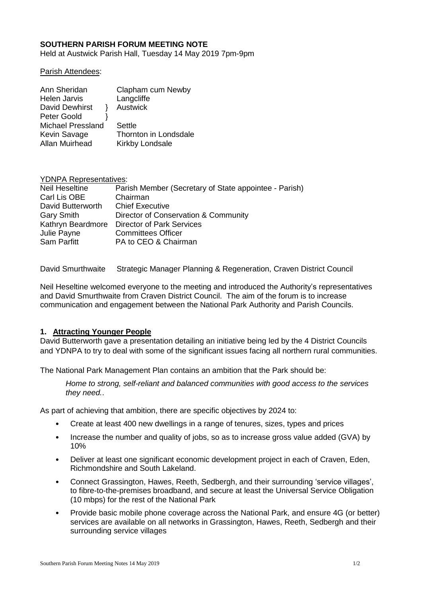## **SOUTHERN PARISH FORUM MEETING NOTE**

Held at Austwick Parish Hall, Tuesday 14 May 2019 7pm-9pm

#### Parish Attendees:

| Clapham cum Newby     |
|-----------------------|
| Langcliffe            |
| <b>Austwick</b>       |
|                       |
| Settle                |
| Thornton in Londsdale |
| Kirkby Londsale       |
|                       |

| <b>YDNPA Representatives:</b>                         |  |  |
|-------------------------------------------------------|--|--|
| Parish Member (Secretary of State appointee - Parish) |  |  |
| Chairman                                              |  |  |
| <b>Chief Executive</b>                                |  |  |
| Director of Conservation & Community                  |  |  |
| <b>Director of Park Services</b>                      |  |  |
| <b>Committees Officer</b>                             |  |  |
| PA to CEO & Chairman                                  |  |  |
|                                                       |  |  |

David Smurthwaite Strategic Manager Planning & Regeneration, Craven District Council

Neil Heseltine welcomed everyone to the meeting and introduced the Authority's representatives and David Smurthwaite from Craven District Council. The aim of the forum is to increase communication and engagement between the National Park Authority and Parish Councils.

#### **1. Attracting Younger People**

David Butterworth gave a presentation detailing an initiative being led by the 4 District Councils and YDNPA to try to deal with some of the significant issues facing all northern rural communities.

The National Park Management Plan contains an ambition that the Park should be:

*Home to strong, self-reliant and balanced communities with good access to the services they need.*.

As part of achieving that ambition, there are specific objectives by 2024 to:

- Create at least 400 new dwellings in a range of tenures, sizes, types and prices
- Increase the number and quality of jobs, so as to increase gross value added (GVA) by 10%
- Deliver at least one significant economic development project in each of Craven, Eden, Richmondshire and South Lakeland.
- Connect Grassington, Hawes, Reeth, Sedbergh, and their surrounding 'service villages', to fibre-to-the-premises broadband, and secure at least the Universal Service Obligation (10 mbps) for the rest of the National Park
- Provide basic mobile phone coverage across the National Park, and ensure 4G (or better) services are available on all networks in Grassington, Hawes, Reeth, Sedbergh and their surrounding service villages